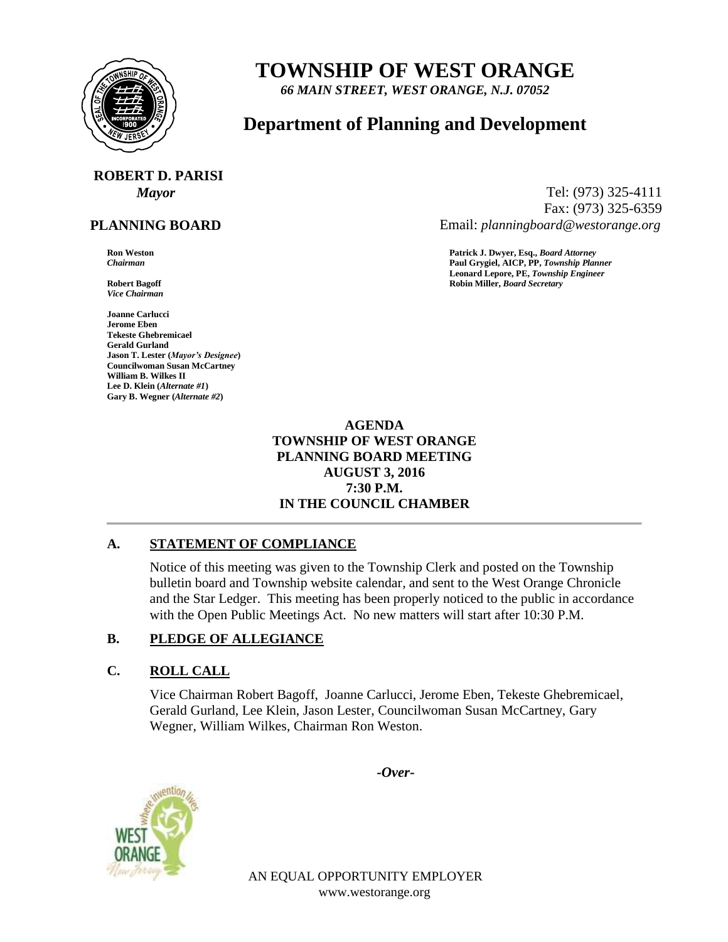

## **TOWNSHIP OF WEST ORANGE**

*66 MAIN STREET, WEST ORANGE, N.J. 07052*

### **Department of Planning and Development**

# **ROBERT D. PARISI**

#### **PLANNING BOARD**

*Vice Chairman*

**Joanne Carlucci Jerome Eben Tekeste Ghebremicael Gerald Gurland Jason T. Lester (***Mayor's Designee***) Councilwoman Susan McCartney William B. Wilkes II Lee D. Klein (***Alternate #1***) Gary B. Wegner (***Alternate #2***)**

*Mayor* Tel: (973) 325-4111 Fax: (973) 325-6359 Email: *planningboard@westorange.org*

**Ron Weston Patrick J. Dwyer, Esq.,** *Board Attorney Chairman* **Paul Grygiel, AICP, PP,** *Township Planner* **Leonard Lepore, PE,** *Township Engineer* **Robert Bagoff Robin Miller,** *Board Secretary*

#### **AGENDA TOWNSHIP OF WEST ORANGE PLANNING BOARD MEETING AUGUST 3, 2016 7:30 P.M. IN THE COUNCIL CHAMBER**

#### **A. STATEMENT OF COMPLIANCE**

Notice of this meeting was given to the Township Clerk and posted on the Township bulletin board and Township website calendar, and sent to the West Orange Chronicle and the Star Ledger. This meeting has been properly noticed to the public in accordance with the Open Public Meetings Act. No new matters will start after 10:30 P.M.

#### **B. PLEDGE OF ALLEGIANCE**

#### **C. ROLL CALL**

Vice Chairman Robert Bagoff, Joanne Carlucci, Jerome Eben, Tekeste Ghebremicael, Gerald Gurland, Lee Klein, Jason Lester, Councilwoman Susan McCartney, Gary Wegner, William Wilkes, Chairman Ron Weston.

**-***Over-*



AN EQUAL OPPORTUNITY EMPLOYER www.westorange.org